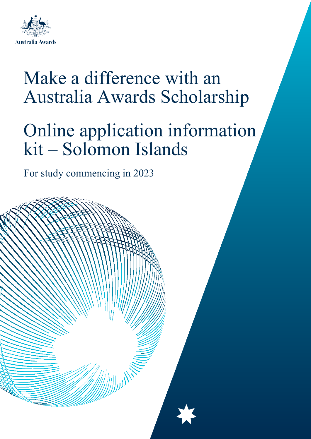

# Make a difference with an Australia Awards Scholarship

# Online application information kit – Solomon Islands

For study commencing in 2023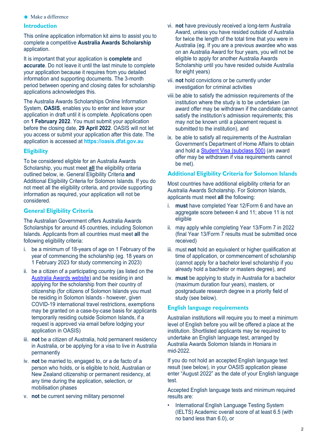$\bigstar$  Make a difference

## **Introduction**

This online application information kit aims to assist you to complete a competitive **Australia Awards Scholarship** application.

It is important that your application is **complete** and **accurate**. Do not leave it until the last minute to complete your application because it requires from you detailed information and supporting documents. The 3-month period between opening and closing dates for scholarship applications acknowledges this.

The Australia Awards Scholarships Online Information System, **OASIS**, enables you to enter and leave your application in draft until it is complete. Applications open on **1 February 2022**. You must submit your application before the closing date, **29 April 2022**. OASIS will not let you access or submit your application after this date. The application is accessed at **https://oasis.dfat.gov.au**

## **Eligibility**

To be considered eligible for an Australia Awards Scholarship, you must meet **all** the eligibility criteria outlined below, ie. General Eligibility Criteria **and** Additional Eligibility Criteria for Solomon Islands. If you do not meet all the eligibility criteria, and provide supporting information as required, your application will not be considered.

# **General Eligibility Criteria**

The Australian Government offers Australia Awards Scholarships for around 45 countries, including Solomon Islands. Applicants from all countries must meet **all** the following eligibility criteria:

- i. be a minimum of 18-years of age on 1 February of the year of commencing the scholarship (eg. 18 years on 1 February 2023 for study commencing in 2023)
- ii. be a citizen of a participating country (as listed on the [Australia Awards website\)](https://www.dfat.gov.au/people-to-people/australia-awards/participating-countries) and be residing in and applying for the scholarship from their country of citizenship (for citizens of Solomon Islands you must be residing in Solomon Islands - however, given COVID-19 international travel restrictions, exemptions may be granted on a case-by-case basis for applicants temporarily residing outside Solomon Islands, if a request is approved via email before lodging your application in OASIS)
- iii. **not** be a citizen of Australia, hold permanent residency in Australia, or be applying for a visa to live in Australia permanently
- iv. **not** be married to, engaged to, or a de facto of a person who holds, or is eligible to hold, Australian or New Zealand citizenship or permanent residency, at any time during the application, selection, or mobilisation phases
- v. **not** be current serving military personnel
- vi. **not** have previously received a long-term Australia Award, unless you have resided outside of Australia for twice the length of the total time that you were in Australia (eg. If you are a previous awardee who was on an Australia Award for four years, you will not be eligible to apply for another Australia Awards Scholarship until you have resided outside Australia for eight years)
- vii. **not** hold convictions or be currently under investigation for criminal activities
- viii.be able to satisfy the admission requirements of the institution where the study is to be undertaken (an award offer may be withdrawn if the candidate cannot satisfy the institution's admission requirements; this may not be known until a placement request is submitted to the institution), and
- ix. be able to satisfy all requirements of the Australian Government's Department of Home Affairs to obtain and hold a [Student Visa \(subclass 500\)](https://immi.homeaffairs.gov.au/visas/getting-a-visa/visa-listing/student-500) (an award offer may be withdrawn if visa requirements cannot be met).

## **Additional Eligibility Criteria for Solomon Islands**

Most countries have additional eligibility criteria for an Australia Awards Scholarship. For Solomon Islands, applicants must meet **all** the following:

- i. **must** have completed Year 12/Form 6 and have an aggregate score between 4 and 11; above 11 is not eligible
- ii. may apply while completing Year 13/Form 7 in 2022 (final Year 13/Form 7 results must be submitted once received)
- iii. must **not** hold an equivalent or higher qualification at time of application, or commencement of scholarship (cannot apply for a bachelor level scholarship if you already hold a bachelor or masters degree), and
- iv. **must** be applying to study in Australia for a bachelor (maximum duration four years), masters, or postgraduate research degree in a priority field of study (see below).

## **English language requirements**

Australian institutions will require you to meet a minimum level of English before you will be offered a place at the institution. Shortlisted applicants may be required to undertake an English language test, arranged by Australia Awards Solomon Islands in Honiara in mid-2022.

If you do not hold an accepted English language test result (see below), in your OASIS application please enter "August 2022" as the date of your English language test.

Accepted English language tests and minimum required results are:

International English Language Testing System (IELTS) Academic overall score of at least 6.5 (with no band less than 6.0), or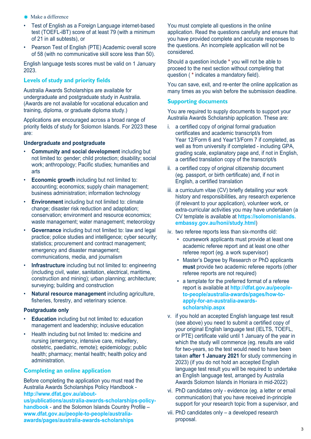- $\bigstar$  Make a difference
- Test of English as a Foreign Language internet-based test (TOEFL-iBT) score of at least 79 (with a minimum of 21 in all subtests), or
- Pearson Test of English (PTE) Academic overall score of 58 (with no communicative skill score less than 50).

English language tests scores must be valid on 1 January 2023.

# **Levels of study and priority fields**

Australia Awards Scholarships are available for undergraduate and postgraduate study in Australia. (Awards are not available for vocational education and training, diploma, or graduate diploma study.)

Applications are encouraged across a broad range of priority fields of study for Solomon Islands. For 2023 these are:

## **Undergraduate and postgraduate**

- **Community and social development** including but not limited to: gender; child protection; disability; social work; anthropology; Pacific studies; humanities and arts
- **Economic growth** including but not limited to: accounting; economics; supply chain management; business administration; information technology
- **Environment** including but not limited to: climate change; disaster risk reduction and adaptation; conservation; environment and resource economics; waste management; water management; meteorology
- **Governance** including but not limited to: law and legal practice; police studies and intelligence; cyber security; statistics; procurement and contract management; emergency and disaster management; communications, media, and journalism
- **Infrastructure** including but not limited to: engineering (including civil, water, sanitation, electrical, maritime, construction and mining); urban planning; architecture; surveying; building and construction
- **Natural resource management** including agriculture, fisheries, forestry, and veterinary science.

## **Postgraduate only**

- **Education** including but not limited to: education management and leadership; inclusive education
- Health including but not limited to: medicine and nursing (emergency, intensive care, midwifery, obstetric, paediatric, remote); epidemiology; public health; pharmacy; mental health; health policy and administration.

# **Completing an online application**

Before completing the application you must read the Australia Awards Scholarships Policy Handbook **[http://www.dfat.gov.au/about-](http://www.dfat.gov.au/about-us/publications/australia-awards-scholarships-policy-handbook)**

**[us/publications/australia-awards-scholarships-policy](http://www.dfat.gov.au/about-us/publications/australia-awards-scholarships-policy-handbook)[handbook](http://www.dfat.gov.au/about-us/publications/australia-awards-scholarships-policy-handbook)** - and the Solomon Islands Country Profile – **www.dfat.gov.au/people-to-people/australiaawards/pages/australia-awards-scholarships**

You must complete all questions in the online application. Read the questions carefully and ensure that you have provided complete and accurate responses to the questions. An incomplete application will not be considered.

Should a question include **\*** you will not be able to proceed to the next section without completing that question ( **\*** indicates a mandatory field).

You can save, exit, and re-enter the online application as many times as you wish before the submission deadline.

# **Supporting documents**

You are required to supply documents to support your Australia Awards Scholarship application. These are:

- i. a certified copy of original formal graduation certificates and academic transcript/s from Year 12/Form 6 and Year13/Form 7 if completed, as well as from university if completed - including GPA, grading scale, explanatory page and, if not in English, a certified translation copy of the transcript/s
- ii. a certified copy of original citizenship document (eg. passport, or birth certificate) and, if not in English, a certified translation
- iii. a curriculum vitae (CV) briefly detailing your work history and responsibilities, any research experience (if relevant to your application), volunteer work, or extra-curricular activities you may have undertaken (a CV template is available at **https://solomonislands. embassy.gov.au/honi/study.html**)
- iv. two referee reports less than six-months old:
	- coursework applicants must provide at least one academic referee report and at least one other referee report (eg. a work supervisor)
	- Master's Degree by Research or PhD applicants **must** provide two academic referee reports (other referee reports are not required)
	- a template for the preferred format of a referee report is available at **http://dfat.gov.au/peopleto-people/australia-awards/pages/how-toapply-for-an-australia-awardsscholarship.aspx**
- v. if you hold an accepted English language test result (see above) you need to submit a certified copy of your original English language test (IELTS, TOEFL, or PTE) certificate valid until 1 January of the year in which the study will commence (eg. results are valid for two-years, so the test would need to have been taken **after 1 January 2021** for study commencing in 2023) (if you do not hold an accepted English language test result you will be required to undertake an English language test, arranged by Australia Awards Solomon Islands in Honiara in mid-2022)
- vi. PhD candidates only evidence (eg. a letter or email communication) that you have received in-principle support for your research topic from a supervisor, and
- vii. PhD candidates only a developed research proposal.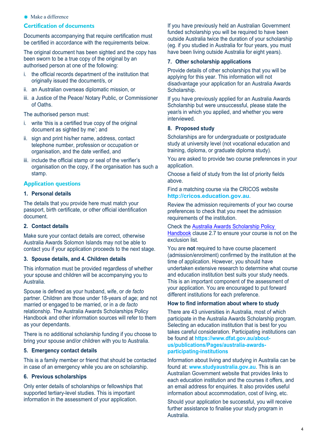## **★** Make a difference

## **Certification of documents**

Documents accompanying that require certification must be certified in accordance with the requirements below.

The original document has been sighted and the copy has been sworn to be a true copy of the original by an authorised person at one of the following:

- i. the official records department of the institution that originally issued the document/s, or
- ii. an Australian overseas diplomatic mission, or
- iii. a Justice of the Peace/ Notary Public, or Commissioner of Oaths.

The authorised person must:

- i. write 'this is a certified true copy of the original document as sighted by me'; and
- ii. sign and print his/her name, address, contact telephone number, profession or occupation or organisation, and the date verified, and
- iii. include the official stamp or seal of the verifier's organisation on the copy, if the organisation has such a stamp.

## **Application questions**

## **1. Personal details**

The details that you provide here must match your passport, birth certificate, or other official identification document.

## **2. Contact details**

Make sure your contact details are correct, otherwise Australia Awards Solomon Islands may not be able to contact you if your application proceeds to the next stage.

#### **3. Spouse details, and 4. Children details**

This information must be provided regardless of whether your spouse and children will be accompanying you to Australia.

Spouse is defined as your husband, wife, or *de facto* partner. Children are those under 18-years of age; and not married or engaged to be married, or in a *de facto* relationship. The Australia Awards Scholarships Policy Handbook and other information sources will refer to them as your dependants.

There is no additional scholarship funding if you choose to bring your spouse and/or children with you to Australia.

#### **5. Emergency contact details**

This is a family member or friend that should be contacted in case of an emergency while you are on scholarship.

## **6. Previous scholarships**

Only enter details of scholarships or fellowships that supported tertiary-level studies. This is important information in the assessment of your application.

If you have previously held an Australian Government funded scholarship you will be required to have been outside Australia twice the duration of your scholarship (eg. if you studied in Australia for four years, you must have been living outside Australia for eight years).

## **7. Other scholarship applications**

Provide details of other scholarships that you will be applying for this year. This information will not disadvantage your application for an Australia Awards Scholarship.

If you have previously applied for an Australia Awards Scholarship but were unsuccessful, please state the year/s in which you applied, and whether you were interviewed.

## **8. Proposed study**

Scholarships are for undergraduate or postgraduate study at university level (not vocational education and training, diploma, or graduate diploma study).

You are asked to provide two course preferences in your application.

Choose a field of study from the list of priority fields above.

Find a matching course via the [CRICOS website](https://cricos.education.gov.au/course/coursesearch.aspx) **http://cricos.education.gov.au**.

Review the admission requirements of your two course preferences to check that you meet the admission requirements of the institution.

Check the [Australia Awards Scholarship Policy](http://www.dfat.gov.au/about-us/publications/australia-awards-scholarships-policy-handbook)  [Handbook](http://www.dfat.gov.au/about-us/publications/australia-awards-scholarships-policy-handbook) clause 2.7 to ensure your course is not on the exclusion list.

You are **not** required to have course placement (admission/enrolment) confirmed by the institution at the time of application. However, you should have undertaken extensive research to determine what course and education institution best suits your study needs. This is an important component of the assessment of your application. You are encouraged to put forward different institutions for each preference.

#### **How to find information about where to study**

There are 43 universities in Australia, most of which participate in the Australia Awards Scholarship program. Selecting an education institution that is best for you takes careful consideration. Participating institutions can be found at **https://www.dfat.gov.au/aboutus/publications/Pages/australia-awardsparticipating-institutions**

Information about living and studying in Australia can be found at: **www.studyaustralia.gov.au**. This is an Australian Government website that provides links to each education institution and the courses it offers, and an email address for enquiries. It also provides useful information about accommodation, cost of living, etc.

Should your application be successful, you will receive further assistance to finalise your study program in Australia.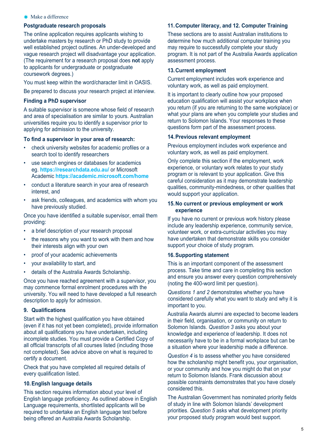#### $\triangleleft$  Make a difference

#### **Postgraduate research proposals**

The online application requires applicants wishing to undertake masters by research or PhD study to provide well established project outlines. An under-developed and vague research project will disadvantage your application. (The requirement for a research proposal does **not** apply to applicants for undergraduate or postgraduate coursework degrees.)

You must keep within the word/character limit in OASIS.

Be prepared to discuss your research project at interview.

## **Finding a PhD supervisor**

A suitable supervisor is someone whose field of research and area of specialisation are similar to yours. Australian universities require you to identify a supervisor prior to applying for admission to the university.

#### **To find a supervisor in your area of research:**

- check university websites for academic profiles or a search tool to identify researchers
- use search engines or databases for academics eg. **https://researchdata.edu.au/** or Microsoft Academic **https://academic.microsoft.com/home**
- conduct a literature search in your area of research interest, and
- ask friends, colleagues, and academics with whom you have previously studied.

Once you have identified a suitable supervisor, email them providing:

- a brief description of your research proposal
- the reasons why you want to work with them and how their interests align with your own
- proof of your academic achievements
- your availability to start, and
- details of the Australia Awards Scholarship.

Once you have reached agreement with a supervisor, you may commence formal enrolment procedures with the university. You will need to have developed a full research description to apply for admission.

## **9. Qualifications**

Start with the highest qualification you have obtained (even if it has not yet been completed), provide information about all qualifications you have undertaken, including incomplete studies. You must provide a Certified Copy of all official transcripts of all courses listed (including those not completed). See advice above on what is required to certify a document.

Check that you have completed all required details of every qualification listed.

#### **10.English language details**

This section requires information about your level of English language proficiency. As outlined above in English Language requirements, shortlisted applicants will be required to undertake an English language test before being offered an Australia Awards Scholarship.

#### **11.Computer literacy, and 12. Computer Training**

These sections are to assist Australian institutions to determine how much additional computer training you may require to successfully complete your study program. It is not part of the Australia Awards application assessment process.

#### **13.Current employment**

Current employment includes work experience and voluntary work, as well as paid employment.

It is important to clearly outline how your proposed education qualification will assist your workplace when you return (if you are returning to the same workplace) or what your plans are when you complete your studies and return to Solomon Islands. Your responses to these questions form part of the assessment process.

## **14.Previous relevant employment**

Previous employment includes work experience and voluntary work, as well as paid employment.

Only complete this section if the employment, work experience, or voluntary work relates to your study program or is relevant to your application. Give this careful consideration as it may demonstrate leadership qualities, community-mindedness, or other qualities that would support your application.

## **15.No current or previous employment or work experience**

If you have no current or previous work history please include any leadership experience, community service, volunteer work, or extra-curricular activities you may have undertaken that demonstrate skills you consider support your choice of study program.

## **16.Supporting statement**

This is an important component of the assessment process. Take time and care in completing this section and ensure you answer every question comprehensively (noting the 400-word limit per question).

*Questions 1 and 2* demonstrates whether you have considered carefully what you want to study and why it is important to you.

Australia Awards alumni are expected to become leaders in their field, organisation, or community on return to Solomon Islands. *Question 3* asks you about your knowledge and experience of leadership. It does not necessarily have to be in a formal workplace but can be a situation where your leadership made a difference.

*Question 4* is to assess whether you have considered how the scholarship might benefit you, your organisation, or your community and how you might do that on your return to Solomon Islands. Frank discussion about possible constraints demonstrates that you have closely considered this.

The Australian Government has nominated priority fields of study in line with Solomon Islands' development priorities. *Question 5* asks what development priority your proposed study program would best support.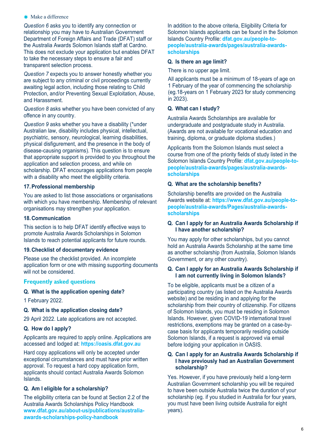#### **\*** Make a difference

*Question 6* asks you to identify any connection or relationship you may have to Australian Government Department of Foreign Affairs and Trade (DFAT) staff or the Australia Awards Solomon Islands staff at Cardno. This does not exclude your application but enables DFAT to take the necessary steps to ensure a fair and transparent selection process.

*Question 7* expects you to answer honestly whether you are subject to any criminal or civil proceedings currently awaiting legal action, including those relating to Child Protection, and/or Preventing Sexual Exploitation, Abuse, and Harassment.

*Question 8* asks whether you have been convicted of any offence in any country.

*Question 9* asks whether you have a disability (\*under Australian law, disability includes physical, intellectual, psychiatric, sensory, neurological, learning disabilities, physical disfigurement, and the presence in the body of disease-causing organisms). This question is to ensure that appropriate support is provided to you throughout the application and selection process, and while on scholarship. DFAT encourages applications from people with a disability who meet the eligibility criteria.

## **17.Professional membership**

You are asked to list those associations or organisations with which you have membership. Membership of relevant organisations may strengthen your application.

## **18.Communication**

This section is to help DFAT identify effective ways to promote Australia Awards Scholarships in Solomon Islands to reach potential applicants for future rounds.

## **19.Checklist of documentary evidence**

Please use the checklist provided. An incomplete application form or one with missing supporting documents will not be considered.

## **Frequently asked questions**

## **Q. What is the application opening date?**

1 February 2022.

## **Q. What is the application closing date?**

29 April 2022. Late applications are not accepted.

## **Q. How do I apply?**

Applicants are required to apply online. Applications are accessed and lodged at: **https://oasis.dfat.gov.au**

Hard copy applications will only be accepted under exceptional circumstances and must have prior written approval. To request a hard copy application form, applicants should contact Australia Awards Solomon Islands.

## **Q. Am I eligible for a scholarship?**

The eligibility criteria can be found at Section 2.2 of the Australia Awards Scholarships Policy Handbook **www.dfat.gov.au/about-us/publications/australiaawards-scholarships-policy-handbook**

In addition to the above criteria, Eligibility Criteria for Solomon Islands applicants can be found in the Solomon Islands Country Profile: **dfat.gov.au/people-topeople/australia-awards/pages/australia-awardsscholarships**

## **Q. Is there an age limit?**

There is no upper age limit.

All applicants must be a minimum of 18-years of age on 1 February of the year of commencing the scholarship (eg.18-years on 1 February 2023 for study commencing in 2023).

## **Q. What can I study?**

Australia Awards Scholarships are available for undergraduate and postgraduate study in Australia. (Awards are not available for vocational education and training, diploma, or graduate diploma studies.)

Applicants from the Solomon Islands must select a course from one of the priority fields of study listed in the Solomon Islands Country Profile: **dfat.gov.au/people-topeople/australia-awards/pages/australia-awardsscholarships**

## **Q. What are the scholarship benefits?**

Scholarship benefits are provided on the Australia Awards website at: **https://www.dfat.gov.au/people-topeople/australia-awards/Pages/australia-awardsscholarships**

## **Q. Can I apply for an Australia Awards Scholarship if I have another scholarship?**

You may apply for other scholarships, but you cannot hold an Australia Awards Scholarship at the same time as another scholarship (from Australia, Solomon Islands Government, or any other country).

## **Q. Can I apply for an Australia Awards Scholarship if I am not currently living in Solomon Islands?**

To be eligible, applicants must be a citizen of a participating country (as listed on the Australia Awards website) and be residing in and applying for the scholarship from their country of citizenship. For citizens of Solomon Islands, you must be residing in Solomon Islands. However, given COVID-19 international travel restrictions, exemptions may be granted on a case-bycase basis for applicants temporarily residing outside Solomon Islands, if a request is approved via email before lodging your application in OASIS.

## **Q. Can I apply for an Australia Awards Scholarship if I have previously had an Australian Government scholarship?**

Yes. However, if you have previously held a long-term Australian Government scholarship you will be required to have been outside Australia twice the duration of your scholarship (eg. if you studied in Australia for four years, you must have been living outside Australia for eight years).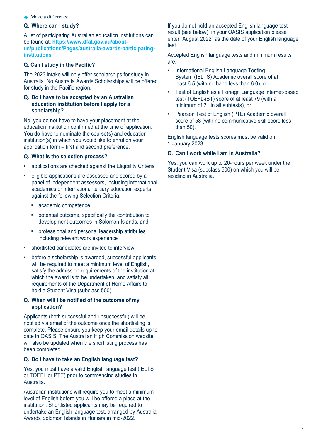**★** Make a difference

## **Q. Where can I study?**

A list of participating Australian education institutions can be found at: **https://www.dfat.gov.au/aboutus/publications/Pages/australia-awards-participatinginstitutions**

## **Q. Can I study in the Pacific?**

The 2023 intake will only offer scholarships for study in Australia. No Australia Awards Scholarships will be offered for study in the Pacific region.

## **Q. Do I have to be accepted by an Australian education institution before I apply for a scholarship?**

No, you do not have to have your placement at the education institution confirmed at the time of application. You do have to nominate the course(s) and education institution(s) in which you would like to enrol on your application form – first and second preference.

## **Q. What is the selection process?**

- applications are checked against the Eligibility Criteria
- eligible applications are assessed and scored by a panel of independent assessors, including international academics or international tertiary education experts, against the following Selection Criteria:
	- **academic competence**
	- potential outcome, specifically the contribution to development outcomes in Solomon Islands, and
	- **•** professional and personal leadership attributes including relevant work experience
- shortlisted candidates are invited to interview
- before a scholarship is awarded, successful applicants will be required to meet a minimum level of English, satisfy the admission requirements of the institution at which the award is to be undertaken, and satisfy all requirements of the Department of Home Affairs to hold a Student Visa (subclass 500).

## **Q. When will I be notified of the outcome of my application?**

Applicants (both successful and unsuccessful) will be notified via email of the outcome once the shortlisting is complete. Please ensure you keep your email details up to date in OASIS. The Australian High Commission website will also be updated when the shortlisting process has been completed.

## **Q. Do I have to take an English language test?**

Yes, you must have a valid English language test (IELTS or TOEFL or PTE) prior to commencing studies in Australia.

Australian institutions will require you to meet a minimum level of English before you will be offered a place at the institution. Shortlisted applicants may be required to undertake an English language test, arranged by Australia Awards Solomon Islands in Honiara in mid-2022.

If you do not hold an accepted English language test result (see below), in your OASIS application please enter "August 2022" as the date of your English language test.

Accepted English language tests and minimum results are:

- International English Language Testing System (IELTS) Academic overall score of at least 6.5 (with no band less than 6.0), or
- Test of English as a Foreign Language internet-based test (TOEFL-iBT) score of at least 79 (with a minimum of 21 in all subtests), or
- Pearson Test of English (PTE) Academic overall score of 58 (with no communicative skill score less than 50).

English language tests scores must be valid on 1 January 2023.

# **Q. Can I work while I am in Australia?**

Yes, you can work up to 20-hours per week under the Student Visa (subclass 500) on which you will be residing in Australia.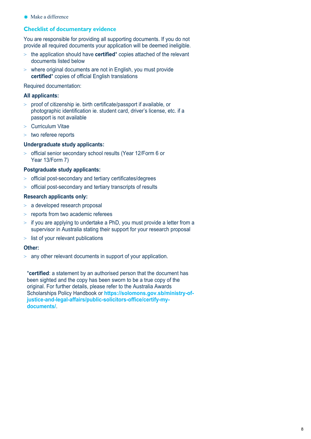$\triangleleft$  Make a difference

# **Checklist of documentary evidence**

You are responsible for providing all supporting documents. If you do not provide all required documents your application will be deemed ineligible.

- > the application should have **certified**\* copies attached of the relevant documents listed below
- > where original documents are not in English, you must provide **certified**\* copies of official English translations

Required documentation:

# **All applicants:**

- > proof of citizenship ie. birth certificate/passport if available, or photographic identification ie. student card, driver's license, etc. if a passport is not available
- > Curriculum Vitae
- > two referee reports

# **Undergraduate study applicants:**

> official senior secondary school results (Year 12/Form 6 or Year 13/Form 7)

# **Postgraduate study applicants:**

- > official post-secondary and tertiary certificates/degrees
- > official post-secondary and tertiary transcripts of results

# **Research applicants only:**

- > a developed research proposal
- > reports from two academic referees
- $>$  if you are applying to undertake a PhD, you must provide a letter from a supervisor in Australia stating their support for your research proposal
- > list of your relevant publications

# **Other:**

 $>$  any other relevant documents in support of your application.

\***certified**: a statement by an authorised person that the document has been sighted and the copy has been sworn to be a true copy of the original. For further details, please refer to the Australia Awards Scholarships Policy Handbook or **https://solomons.gov.sb/ministry-ofjustice-and-legal-affairs/public-solicitors-office/certify-mydocuments/**.